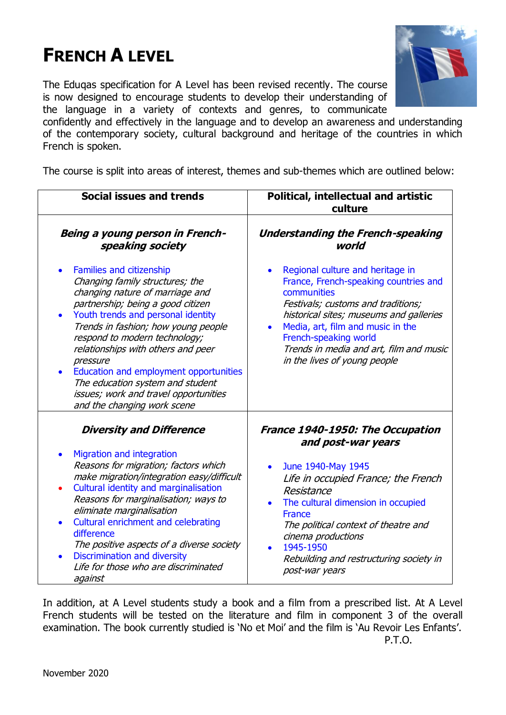# **FRENCH A LEVEL**

The Eduqas specification for A Level has been revised recently. The course is now designed to encourage students to develop their understanding of the language in a variety of contexts and genres, to communicate



confidently and effectively in the language and to develop an awareness and understanding of the contemporary society, cultural background and heritage of the countries in which French is spoken.

The course is split into areas of interest, themes and sub-themes which are outlined below:

| Social issues and trends                                                                                                                                                                                                                                                                                                                                                                                                                                  | Political, intellectual and artistic<br>culture                                                                                                                                                                                                                                                                                 |
|-----------------------------------------------------------------------------------------------------------------------------------------------------------------------------------------------------------------------------------------------------------------------------------------------------------------------------------------------------------------------------------------------------------------------------------------------------------|---------------------------------------------------------------------------------------------------------------------------------------------------------------------------------------------------------------------------------------------------------------------------------------------------------------------------------|
| Being a young person in French-<br>speaking society                                                                                                                                                                                                                                                                                                                                                                                                       | <b>Understanding the French-speaking</b><br>world                                                                                                                                                                                                                                                                               |
| Families and citizenship<br>Changing family structures; the<br>changing nature of marriage and<br>partnership; being a good citizen<br>Youth trends and personal identity<br>Trends in fashion; how young people<br>respond to modern technology;<br>relationships with others and peer<br>pressure<br>Education and employment opportunities<br>The education system and student<br>issues; work and travel opportunities<br>and the changing work scene | Regional culture and heritage in<br>France, French-speaking countries and<br>communities<br>Festivals; customs and traditions;<br>historical sites; museums and galleries<br>Media, art, film and music in the<br>$\bullet$<br>French-speaking world<br>Trends in media and art, film and music<br>in the lives of young people |
| <b>Diversity and Difference</b>                                                                                                                                                                                                                                                                                                                                                                                                                           | France 1940-1950: The Occupation<br>and post-war years                                                                                                                                                                                                                                                                          |
| Migration and integration<br>$\bullet$<br>Reasons for migration; factors which<br>make migration/integration easy/difficult<br>Cultural identity and marginalisation<br>Reasons for marginalisation; ways to<br>eliminate marginalisation<br>Cultural enrichment and celebrating<br>difference<br>The positive aspects of a diverse society<br>Discrimination and diversity<br>$\bullet$<br>Life for those who are discriminated<br>against               | June 1940-May 1945<br>$\bullet$<br>Life in occupied France; the French<br>Resistance<br>The cultural dimension in occupied<br><b>France</b><br>The political context of theatre and<br>cinema productions<br>1945-1950<br>Rebuilding and restructuring society in<br>post-war years                                             |

In addition, at A Level students study a book and a film from a prescribed list. At A Level French students will be tested on the literature and film in component 3 of the overall examination. The book currently studied is 'No et Moi' and the film is 'Au Revoir Les Enfants'. P.T.O.